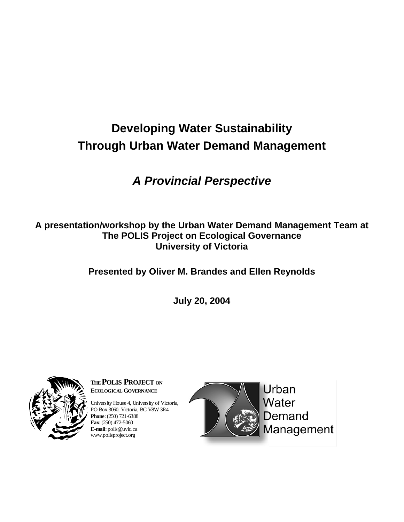# **Developing Water Sustainability Through Urban Water Demand Management**

# *A Provincial Perspective*

**A presentation/workshop by the Urban Water Demand Management Team at The POLIS Project on Ecological Governance University of Victoria** 

**Presented by Oliver M. Brandes and Ellen Reynolds** 

**July 20, 2004** 



**THEPOLIS PROJECT ON ECOLOGICAL GOVERNANCE**

University House 4, University of Victoria, PO Box 3060, Victoria, BC V8W 3R4 **Phone**: (250) 721-6388 **Fax**: (250) 472-5060 **E-mail**: polis@uvic.ca www.polisproject.org

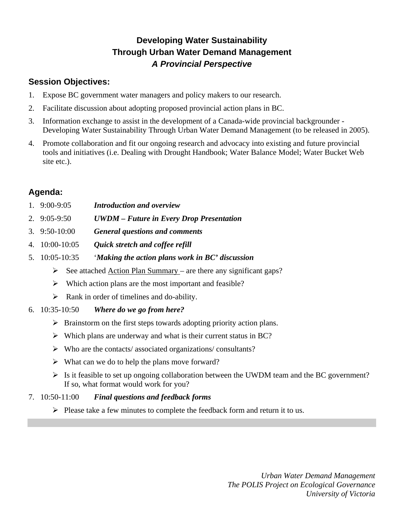## **Developing Water Sustainability Through Urban Water Demand Management**  *A Provincial Perspective*

## **Session Objectives:**

- 1. Expose BC government water managers and policy makers to our research.
- 2. Facilitate discussion about adopting proposed provincial action plans in BC.
- 3. Information exchange to assist in the development of a Canada-wide provincial backgrounder Developing Water Sustainability Through Urban Water Demand Management (to be released in 2005).
- 4. Promote collaboration and fit our ongoing research and advocacy into existing and future provincial tools and initiatives (i.e. Dealing with Drought Handbook; Water Balance Model; Water Bucket Web site etc.).

## **Agenda:**

- 1. 9:00-9:05 *Introduction and overview*
- 2. 9:05-9:50 *UWDM Future in Every Drop Presentation*
- 3. 9:50-10:00 *General questions and comments*
- 4. 10:00-10:05 *Quick stretch and coffee refill*
- 5. 10:05-10:35 '*Making the action plans work in BC' discussion*
	- $\triangleright$  See attached Action Plan Summary are there any significant gaps?
	- $\triangleright$  Which action plans are the most important and feasible?
	- $\triangleright$  Rank in order of timelines and do-ability.
- 6. 10:35-10:50 *Where do we go from here?*
	- $\triangleright$  Brainstorm on the first steps towards adopting priority action plans.
	- $\triangleright$  Which plans are underway and what is their current status in BC?
	- $\triangleright$  Who are the contacts/ associated organizations/ consultants?
	- $\triangleright$  What can we do to help the plans move forward?
	- $\triangleright$  Is it feasible to set up ongoing collaboration between the UWDM team and the BC government? If so, what format would work for you?

### 7. 10:50-11:00 *Final questions and feedback forms*

 $\triangleright$  Please take a few minutes to complete the feedback form and return it to us.

*Urban Water Demand Management The POLIS Project on Ecological Governance University of Victoria*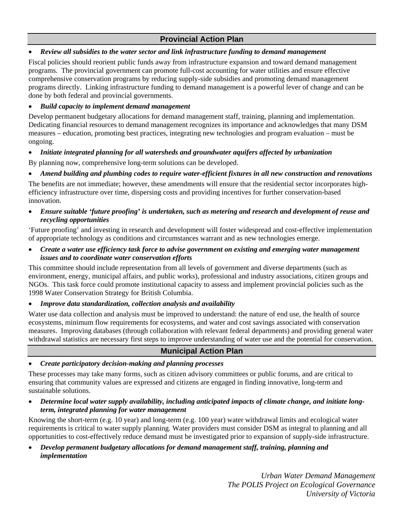### **Provincial Action Plan**

#### • *Review all subsidies to the water sector and link infrastructure funding to demand management*

Fiscal policies should reorient public funds away from infrastructure expansion and toward demand management programs. The provincial government can promote full-cost accounting for water utilities and ensure effective comprehensive conservation programs by reducing supply-side subsidies and promoting demand management programs directly. Linking infrastructure funding to demand management is a powerful lever of change and can be done by both federal and provincial governments.

#### • *Build capacity to implement demand management*

Develop permanent budgetary allocations for demand management staff, training, planning and implementation. Dedicating financial resources to demand management recognizes its importance and acknowledges that many DSM measures – education, promoting best practices, integrating new technologies and program evaluation – must be ongoing.

#### • *Initiate integrated planning for all watersheds and groundwater aquifers affected by urbanization*

By planning now, comprehensive long-term solutions can be developed.

#### • *Amend building and plumbing codes to require water-efficient fixtures in all new construction and renovations*

The benefits are not immediate; however, these amendments will ensure that the residential sector incorporates highefficiency infrastructure over time, dispersing costs and providing incentives for further conservation-based innovation.

#### • *Ensure suitable 'future proofing' is undertaken, such as metering and research and development of reuse and recycling opportunities*

'Future proofing' and investing in research and development will foster widespread and cost-effective implementation of appropriate technology as conditions and circumstances warrant and as new technologies emerge.

#### • *Create a water use efficiency task force to advise government on existing and emerging water management issues and to coordinate water conservation efforts*

This committee should include representation from all levels of government and diverse departments (such as environment, energy, municipal affairs, and public works), professional and industry associations, citizen groups and NGOs. This task force could promote institutional capacity to assess and implement provincial policies such as the 1998 Water Conservation Strategy for British Columbia.

#### • *Improve data standardization, collection analysis and availability*

Water use data collection and analysis must be improved to understand: the nature of end use, the health of source ecosystems, minimum flow requirements for ecosystems, and water and cost savings associated with conservation measures. Improving databases (through collaboration with relevant federal departments) and providing general water withdrawal statistics are necessary first steps to improve understanding of water use and the potential for conservation.

#### **Municipal Action Plan**

#### • *Create participatory decision-making and planning processes*

These processes may take many forms, such as citizen advisory committees or public forums, and are critical to ensuring that community values are expressed and citizens are engaged in finding innovative, long-term and sustainable solutions.

• *Determine local water supply availability, including anticipated impacts of climate change, and initiate longterm, integrated planning for water management*

Knowing the short-term (e.g. 10 year) and long-term (e.g. 100 year) water withdrawal limits and ecological water requirements is critical to water supply planning. Water providers must consider DSM as integral to planning and all opportunities to cost-effectively reduce demand must be investigated prior to expansion of supply-side infrastructure.

#### • *Develop permanent budgetary allocations for demand management staff, training, planning and implementation*

*Urban Water Demand Management The POLIS Project on Ecological Governance University of Victoria*